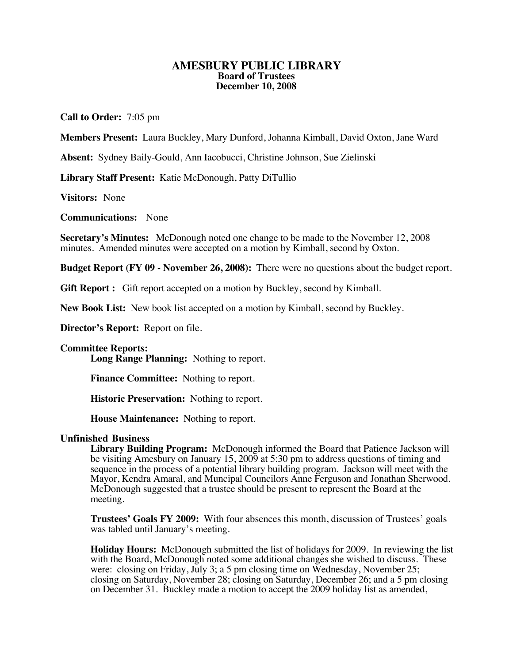## **AMESBURY PUBLIC LIBRARY Board of Trustees December 10, 2008**

**Call to Order:** 7:05 pm

**Members Present:** Laura Buckley, Mary Dunford, Johanna Kimball, David Oxton, Jane Ward

**Absent:** Sydney Baily-Gould, Ann Iacobucci, Christine Johnson, Sue Zielinski

**Library Staff Present:** Katie McDonough, Patty DiTullio

**Visitors:** None

**Communications:** None

**Secretary's Minutes:** McDonough noted one change to be made to the November 12, 2008 minutes. Amended minutes were accepted on a motion by Kimball, second by Oxton.

**Budget Report (FY 09 - November 26, 2008):** There were no questions about the budget report.

Gift Report : Gift report accepted on a motion by Buckley, second by Kimball.

**New Book List:** New book list accepted on a motion by Kimball, second by Buckley.

**Director's Report:** Report on file.

## **Committee Reports:**

**Long Range Planning:** Nothing to report.

**Finance Committee:** Nothing to report.

**Historic Preservation:** Nothing to report.

**House Maintenance:** Nothing to report.

## **Unfinished Business**

**Library Building Program:** McDonough informed the Board that Patience Jackson will be visiting Amesbury on January 15, 2009 at 5:30 pm to address questions of timing and sequence in the process of a potential library building program. Jackson will meet with the Mayor, Kendra Amaral, and Muncipal Councilors Anne Ferguson and Jonathan Sherwood. McDonough suggested that a trustee should be present to represent the Board at the meeting.

**Trustees' Goals FY 2009:** With four absences this month, discussion of Trustees' goals was tabled until January's meeting.

**Holiday Hours:** McDonough submitted the list of holidays for 2009. In reviewing the list with the Board, McDonough noted some additional changes she wished to discuss. These were: closing on Friday, July 3; a 5 pm closing time on Wednesday, November 25; closing on Saturday, November 28; closing on Saturday, December 26; and a 5 pm closing on December 31. Buckley made a motion to accept the 2009 holiday list as amended,